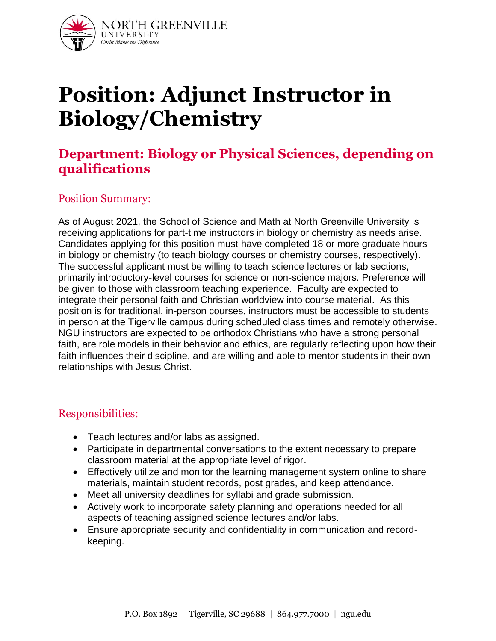

# **Position: Adjunct Instructor in Biology/Chemistry**

## **Department: Biology or Physical Sciences, depending on qualifications**

#### Position Summary:

As of August 2021, the School of Science and Math at North Greenville University is receiving applications for part-time instructors in biology or chemistry as needs arise. Candidates applying for this position must have completed 18 or more graduate hours in biology or chemistry (to teach biology courses or chemistry courses, respectively). The successful applicant must be willing to teach science lectures or lab sections, primarily introductory-level courses for science or non-science majors. Preference will be given to those with classroom teaching experience. Faculty are expected to integrate their personal faith and Christian worldview into course material. As this position is for traditional, in-person courses, instructors must be accessible to students in person at the Tigerville campus during scheduled class times and remotely otherwise. NGU instructors are expected to be orthodox Christians who have a strong personal faith, are role models in their behavior and ethics, are regularly reflecting upon how their faith influences their discipline, and are willing and able to mentor students in their own relationships with Jesus Christ.

#### Responsibilities:

- Teach lectures and/or labs as assigned.
- Participate in departmental conversations to the extent necessary to prepare classroom material at the appropriate level of rigor.
- Effectively utilize and monitor the learning management system online to share materials, maintain student records, post grades, and keep attendance.
- Meet all university deadlines for syllabi and grade submission.
- Actively work to incorporate safety planning and operations needed for all aspects of teaching assigned science lectures and/or labs.
- Ensure appropriate security and confidentiality in communication and recordkeeping.